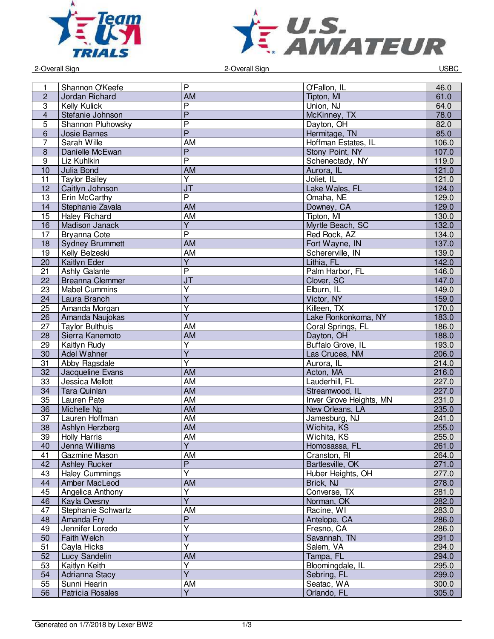



example 2-Overall Sign and DSBC and Sign and DSBC 2-Overall Sign and DSBC and DSBC and DSBC and DSBC and DSBC and DSBC and DSBC and DSBC and DSBC and DSBC and DSBC and DSBC and DSBC and DSBC and DSBC and DSBC and DSBC and

|                  |                        | P                       |                         |       |
|------------------|------------------------|-------------------------|-------------------------|-------|
| 1                | Shannon O'Keefe        |                         | O'Fallon, IL            | 46.0  |
| $\overline{2}$   | Jordan Richard         | <b>AM</b>               | Tipton, MI              | 61.0  |
| 3                | Kelly Kulick           | $\overline{P}$          | Union, NJ               | 64.0  |
| $\overline{4}$   | Stefanie Johnson       | $\overline{P}$          | McKinney, TX            | 78.0  |
| $\overline{5}$   | Shannon Pluhowsky      | $\overline{P}$          | Dayton, OH              | 82.0  |
| $6\phantom{1}$   | Josie Barnes           | $\overline{P}$          | Hermitage, TN           | 85.0  |
| $\overline{7}$   | Sarah Wille            | <b>AM</b>               | Hoffman Estates, IL     | 106.0 |
| 8                | Danielle McEwan        | $\overline{P}$          | Stony Point, NY         | 107.0 |
| $\boldsymbol{9}$ | Liz Kuhlkin            | $\overline{P}$          | Schenectady, NY         | 119.0 |
| 10               | Julia Bond             | <b>AM</b>               | Aurora, IL              | 121.0 |
| 11               | <b>Taylor Bailey</b>   | $\overline{\mathsf{Y}}$ | Joliet, IL              | 121.0 |
| 12               | Caitlyn Johnson        | J <sub>T</sub>          | Lake Wales, FL          | 124.0 |
| 13               | Erin McCarthy          | $\overline{P}$          | Omaha, NE               | 129.0 |
| 14               | Stephanie Zavala       | <b>AM</b>               | Downey, CA              | 129.0 |
| 15               | <b>Haley Richard</b>   | <b>AM</b>               | Tipton, MI              | 130.0 |
| 16               | Madison Janack         | $\overline{Y}$          | Myrtle Beach, SC        | 132.0 |
| 17               | Bryanna Cote           | $\overline{P}$          | Red Rock, AZ            | 134.0 |
| 18               | <b>Sydney Brummett</b> | AM                      | Fort Wayne, IN          | 137.0 |
| 19               | Kelly Belzeski         | <b>AM</b>               | Schererville, IN        | 139.0 |
| 20               | Kaitlyn Eder           | $\overline{Y}$          | Lithia, FL              | 142.0 |
| 21               | <b>Ashly Galante</b>   | $\overline{P}$          | Palm Harbor, FL         | 146.0 |
| 22               | <b>Breanna Clemmer</b> | J <sub>T</sub>          | Clover, SC              | 147.0 |
| 23               | <b>Mabel Cummins</b>   | $\overline{\mathsf{Y}}$ | Elburn, IL              | 149.0 |
| 24               | Laura Branch           | $\overline{Y}$          | Victor, NY              | 159.0 |
| 25               | Amanda Morgan          | $\overline{\mathsf{Y}}$ | Killeen. TX             | 170.0 |
| 26               | Amanda Naujokas        | $\overline{Y}$          | Lake Ronkonkoma, NY     | 183.0 |
| 27               |                        | AM                      |                         |       |
|                  | <b>Taylor Bulthuis</b> | <b>AM</b>               | Coral Springs, FL       | 186.0 |
| 28               | Sierra Kanemoto        |                         | Dayton, OH              | 188.0 |
| 29               | Kaitlyn Rudy           | $\overline{\mathsf{Y}}$ | Buffalo Grove, IL       | 193.0 |
| 30               | Adel Wahner            | $\overline{\mathsf{Y}}$ | Las Cruces, NM          | 206.0 |
| 31               | Abby Ragsdale          | $\overline{\mathsf{Y}}$ | Aurora, IL              | 214.0 |
| 32               | Jacqueline Evans       | AM                      | Acton, MA               | 216.0 |
| 33               | Jessica Mellott        | AM                      | Lauderhill, FL          | 227.0 |
| 34               | <b>Tara Quinlan</b>    | AM                      | Streamwood, IL          | 227.0 |
| 35               | Lauren Pate            | AM                      | Inver Grove Heights, MN | 231.0 |
| 36               | Michelle Ng            | <b>AM</b>               | New Orleans, LA         | 235.0 |
| 37               | Lauren Hoffman         | <b>AM</b>               | Jamesburg, NJ           | 241.0 |
| 38               | Ashlyn Herzberg        | AM                      | Wichita, KS             | 255.0 |
| 39               | <b>Holly Harris</b>    | <b>AM</b>               | Wichita, KS             | 255.0 |
| 40               | Jenna Williams         | Y                       | Homosassa, FL           | 261.0 |
| 41               | Gazmine Mason          | AM                      | Cranston, RI            | 264.0 |
| 42               | <b>Ashley Rucker</b>   | $\overline{P}$          | Bartlesville, OK        | 271.0 |
| 43               | <b>Haley Cummings</b>  | $\overline{\mathsf{Y}}$ | Huber Heights, OH       | 277.0 |
| 44               | Amber MacLeod          | <b>AM</b>               | Brick, NJ               | 278.0 |
| 45               | Angelica Anthony       | Ÿ                       | Converse, TX            | 281.0 |
| 46               | Kayla Ovesny           | $\overline{Y}$          | Norman, OK              | 282.0 |
| 47               | Stephanie Schwartz     | AM                      | Racine, WI              | 283.0 |
| 48               | Amanda Fry             | $\overline{P}$          | Antelope, CA            | 286.0 |
| 49               | Jennifer Loredo        | $\overline{\mathsf{Y}}$ | Fresno, CA              | 286.0 |
| 50               | Faith Welch            | $\overline{Y}$          | Savannah, TN            | 291.0 |
| 51               | Cayla Hicks            | Y                       | Salem, VA               | 294.0 |
| 52               | Lucy Sandelin          | AM                      | Tampa, FL               | 294.0 |
| 53               | Kaitlyn Keith          | Υ                       | Bloomingdale, IL        | 295.0 |
|                  |                        | $\overline{Y}$          |                         | 299.0 |
| 54<br>55         | Adrianna Stacy         | <b>AM</b>               | Sebring, FL             |       |
|                  | Sunni Hearin           | $\overline{\mathsf{Y}}$ | Seatac, WA              | 300.0 |
| 56               | Patricia Rosales       |                         | Orlando, FL             | 305.0 |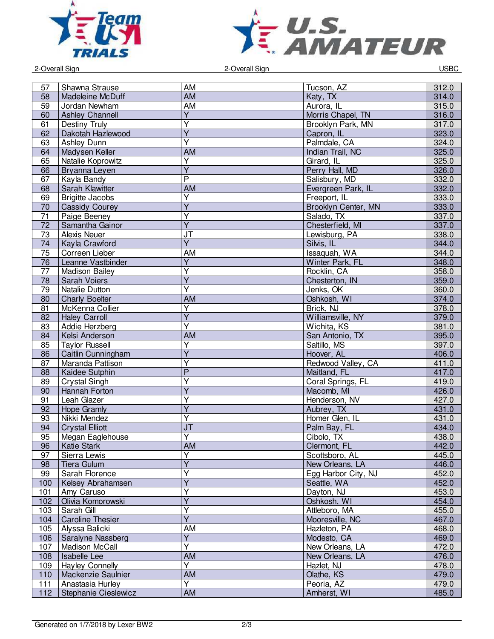



2-Overall Sign 2-Overall Sign USBC

| 57  | Shawna Strause          | AM                                | Tucson, AZ          | 312.0 |
|-----|-------------------------|-----------------------------------|---------------------|-------|
| 58  |                         | <b>AM</b>                         |                     | 314.0 |
|     | Madeleine McDuff        |                                   | Katy, TX            |       |
| 59  | Jordan Newham           | AM                                | Aurora, IL          | 315.0 |
| 60  | <b>Ashley Channell</b>  | $\overline{Y}$                    | Morris Chapel, TN   | 316.0 |
| 61  | Destiny Truly           | $\overline{\mathsf{Y}}$           | Brooklyn Park, MN   | 317.0 |
| 62  | Dakotah Hazlewood       | $\overline{\mathsf{Y}}$           | Capron, IL          | 323.0 |
| 63  | Ashley Dunn             | $\overline{\mathsf{Y}}$           | Palmdale, CA        | 324.0 |
| 64  | Madysen Keller          | <b>AM</b>                         | Indian Trail, NC    | 325.0 |
| 65  | Natalie Koprowitz       | $\overline{Y}$                    | Girard, IL          | 325.0 |
| 66  | Bryanna Leyen           | $\overline{\mathsf{Y}}$           | Perry Hall, MD      | 326.0 |
| 67  | Kayla Bandy             | $\overline{\mathsf{P}}$           | Salisbury, MD       | 332.0 |
| 68  | Sarah Klawitter         | AM                                | Evergreen Park, IL  | 332.0 |
| 69  | <b>Brigitte Jacobs</b>  | $\overline{Y}$                    | Freeport, IL        | 333.0 |
| 70  | <b>Cassidy Courey</b>   | $\overline{Y}$                    | Brooklyn Center, MN | 333.0 |
| 71  | Paige Beeney            | $\overline{Y}$                    | Salado, TX          | 337.0 |
| 72  | Samantha Gainor         | $\overline{Y}$                    | Chesterfield, MI    | 337.0 |
| 73  | <b>Alexis Neuer</b>     | JT                                | Lewisburg, PA       | 338.0 |
| 74  | Kayla Crawford          | $\overline{Y}$                    | Silvis, IL          | 344.0 |
| 75  | Correen Lieber          | <b>AM</b>                         | Issaquah, WA        | 344.0 |
| 76  | Leanne Vastbinder       | $\overline{Y}$                    | Winter Park, FL     | 348.0 |
| 77  | Madison Bailey          | Υ                                 | Rocklin, CA         | 358.0 |
| 78  | <b>Sarah Voiers</b>     | Ÿ                                 | Chesterton, IN      | 359.0 |
| 79  | Natalie Dutton          | $\overline{\mathsf{Y}}$           | Jenks, OK           | 360.0 |
| 80  | <b>Charly Boelter</b>   | <b>AM</b>                         | Oshkosh, WI         | 374.0 |
| 81  | McKenna Collier         | $\overline{Y}$                    | Brick, NJ           | 378.0 |
| 82  |                         | $\overline{Y}$                    |                     |       |
|     | <b>Haley Carroll</b>    | Ÿ                                 | Williamsville, NY   | 379.0 |
| 83  | Addie Herzberg          |                                   | Wichita, KS         | 381.0 |
| 84  | Kelsi Anderson          | <b>AM</b>                         | San Antonio, TX     | 395.0 |
| 85  | <b>Taylor Russell</b>   | $\overline{\mathsf{Y}}$           | Saltillo, MS        | 397.0 |
| 86  | Caitlin Cunningham      | $\overline{Y}$                    | Hoover, AL          | 406.0 |
| 87  | Maranda Pattison        | $\overline{\mathsf{Y}}$           | Redwood Valley, CA  | 411.0 |
| 88  | Kaidee Sutphin          | $\overline{P}$                    | Maitland, FL        | 417.0 |
| 89  | Crystal Singh           | $\overline{\mathsf{Y}}$           | Coral Springs, FL   | 419.0 |
| 90  | Hannah Forton           | $\overline{Y}$                    | Macomb, MI          | 426.0 |
| 91  | Leah Glazer             | Y                                 | Henderson, NV       | 427.0 |
| 92  | <b>Hope Gramly</b>      | $\overline{Y}$                    | Aubrey, TX          | 431.0 |
| 93  | Nikki Mendez            | $\overline{Y}$                    | Homer Glen, IL      | 431.0 |
| 94  | <b>Crystal Elliott</b>  | $\overline{\mathsf{J}\mathsf{T}}$ | Palm Bay, FL        | 434.0 |
| 95  | Megan Eaglehouse        | $\overline{\mathsf{Y}}$           | Cibolo, TX          | 438.0 |
| 96  | Katie Stark             | AM                                | Clermont, FL        | 442.0 |
| 97  | Sierra Lewis            | $\overline{\mathsf{Y}}$           | Scottsboro, AL      | 445.0 |
| 98  | Tiera Gulum             | Y                                 | New Orleans, LA     | 446.0 |
| 99  | Sarah Florence          | $\overline{Y}$                    | Egg Harbor City, NJ | 452.0 |
| 100 | Kelsey Abrahamsen       | $\overline{Y}$                    | Seattle, WA         | 452.0 |
| 101 | Amy Caruso              | Y                                 | Dayton, NJ          | 453.0 |
| 102 | Olivia Komorowski       | $\overline{Y}$                    | Oshkosh, WI         | 454.0 |
| 103 | Sarah Gill              | Υ                                 | Attleboro, MA       | 455.0 |
| 104 | <b>Caroline Thesier</b> | $\overline{\mathsf{Y}}$           | Mooresville, NC     | 467.0 |
| 105 | Alyssa Balicki          | AM                                | Hazleton, PA        | 468.0 |
| 106 | Saralyne Nassberg       | $\overline{Y}$                    | Modesto, CA         | 469.0 |
| 107 | Madison McCall          | Ÿ                                 | New Orleans, LA     | 472.0 |
| 108 | Isabelle Lee            | <b>AM</b>                         | New Orleans, LA     | 476.0 |
| 109 | <b>Hayley Connelly</b>  | Y                                 | Hazlet, NJ          | 478.0 |
| 110 | Mackenzie Saulnier      | <b>AM</b>                         | Olathe, KS          | 479.0 |
| 111 | Anastasia Hurley        | $\overline{Y}$                    | Peoria, AZ          | 479.0 |
| 112 | Stephanie Cieslewicz    | AM                                | Amherst, WI         | 485.0 |
|     |                         |                                   |                     |       |